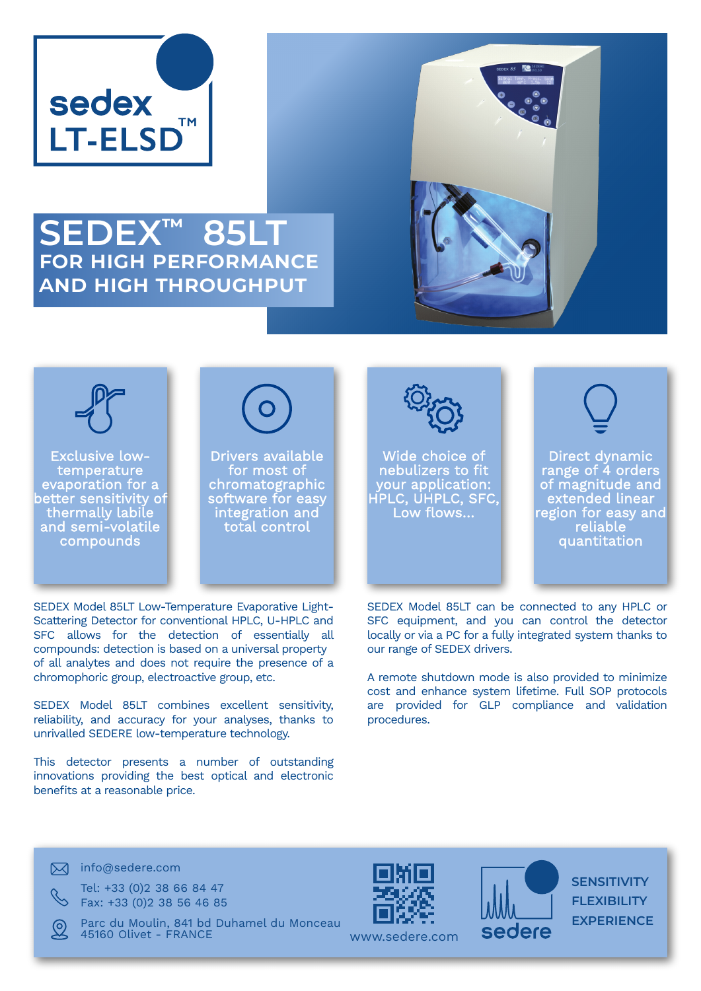

## **SEDEX™ 85LT for high performance and high throughput**





Exclusive lowtemperature evaporation for a better sensitivity of thermally labile and semi-volatile compounds



Drivers available for most of chromatographic software for easy integration and total control



Wide choice of nebulizers to fit your application: HPLC, UHPLC, SFC, Low flows…



Direct dynamic range of 4 orders of magnitude and extended linear region for easy and reliable quantitation

SEDEX Model 85LT can be connected to any HPLC or SFC equipment, and you can control the detector locally or via a PC for a fully integrated system thanks to our range of SEDEX drivers.

A remote shutdown mode is also provided to minimize cost and enhance system lifetime. Full SOP protocols are provided for GLP compliance and validation procedures.

This detector presents a number of outstanding innovations providing the best optical and electronic benefits at a reasonable price.

SEDEX Model 85LT combines excellent sensitivity, reliability, and accuracy for your analyses, thanks to

SEDEX Model 85LT Low-Temperature Evaporative Light-Scattering Detector for conventional HPLC, U-HPLC and SFC allows for the detection of essentially all compounds: detection is based on a universal property of all analytes and does not require the presence of a

chromophoric group, electroactive group, etc.

unrivalled SEDERE low-temperature technology.

 $\boxtimes$  info@sedere.com

Tel: +33 (0)2 38 66 84 47 Fax: +33 (0)2 38 56 46 85

Parc du Moulin, 841 bd Duhamel du Monceau 45160 Olivet - FRANCE





**SENSITIVITY FLEXIBILITY EXPERIENCE**